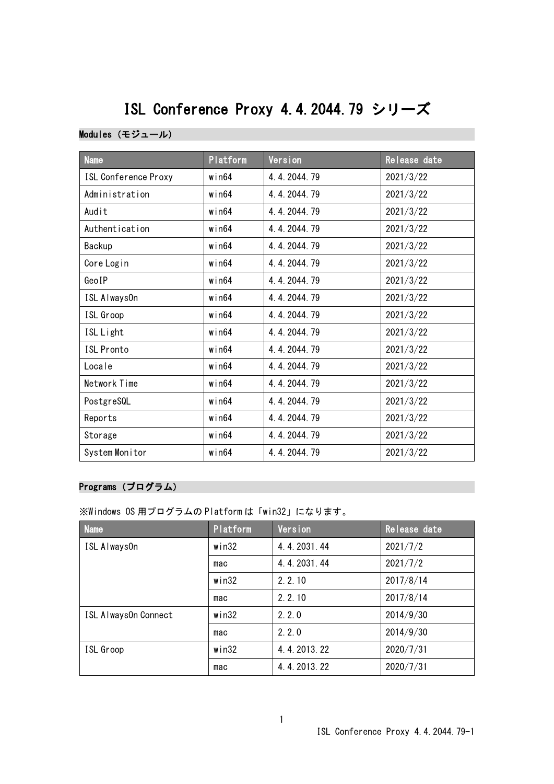# ISL Conference Proxy 4.4.2044.79 シリーズ

#### Modules(モジュール)

| <b>Name</b>                 | Platform    | Version     | Release date |
|-----------------------------|-------------|-------------|--------------|
| <b>ISL Conference Proxy</b> | $w$ in $64$ | 4.4.2044.79 | 2021/3/22    |
| Administration              | $w$ in $64$ | 4.4.2044.79 | 2021/3/22    |
| Audit                       | $w$ in $64$ | 4.4.2044.79 | 2021/3/22    |
| Authentication              | $w$ in $64$ | 4.4.2044.79 | 2021/3/22    |
| Backup                      | $w$ in $64$ | 4.4.2044.79 | 2021/3/22    |
| Core Login                  | $w$ in $64$ | 4.4.2044.79 | 2021/3/22    |
| GeoIP                       | win64       | 4.4.2044.79 | 2021/3/22    |
| ISL Always0n                | win64       | 4.4.2044.79 | 2021/3/22    |
| ISL Groop                   | $w$ in $64$ | 4.4.2044.79 | 2021/3/22    |
| ISL Light                   | $w$ in $64$ | 4.4.2044.79 | 2021/3/22    |
| <b>ISL Pronto</b>           | $w$ in $64$ | 4.4.2044.79 | 2021/3/22    |
| Locale                      | $w$ in $64$ | 4.4.2044.79 | 2021/3/22    |
| Network Time                | $w$ in $64$ | 4.4.2044.79 | 2021/3/22    |
| PostgreSQL                  | $w$ in $64$ | 4.4.2044.79 | 2021/3/22    |
| Reports                     | $w$ in $64$ | 4.4.2044.79 | 2021/3/22    |
| Storage                     | $w$ in $64$ | 4.4.2044.79 | 2021/3/22    |
| System Monitor              | $w$ in $64$ | 4.4.2044.79 | 2021/3/22    |

### Programs(プログラム)

※Windows OS 用プログラムの Platform は「win32」になります。

| <b>Name</b>          | Platform | Version     | Release date |
|----------------------|----------|-------------|--------------|
| ISL Always0n         | win32    | 4.4.2031.44 | 2021/7/2     |
|                      | mac      | 4.4.2031.44 | 2021/7/2     |
|                      | win32    | 2.2.10      | 2017/8/14    |
|                      | mac      | 2.2.10      | 2017/8/14    |
| ISL Always0n Connect | win32    | 2, 2, 0     | 2014/9/30    |
|                      | mac      | 2.2.0       | 2014/9/30    |
| ISL Groop            | win32    | 4.4.2013.22 | 2020/7/31    |
|                      | mac      | 4.4.2013.22 | 2020/7/31    |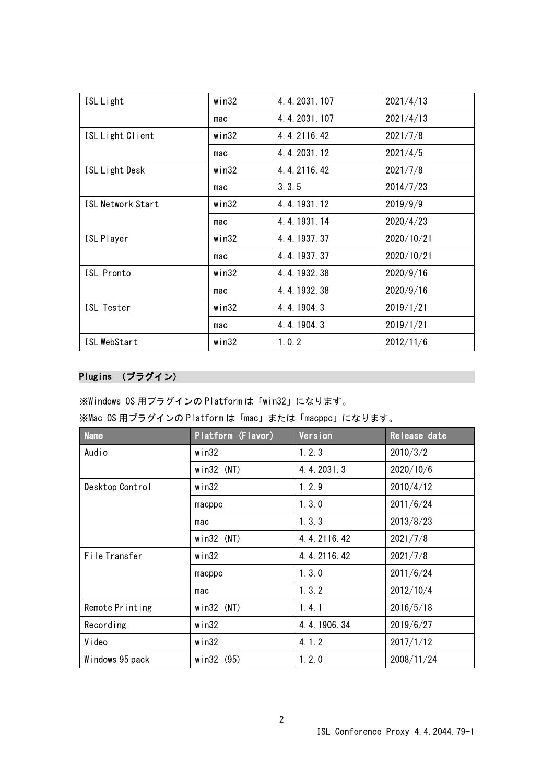| ISL Light                | win32    | 4.4.2031.107 | 2021/4/13  |
|--------------------------|----------|--------------|------------|
|                          | mac      | 4.4.2031.107 | 2021/4/13  |
| ISL Light Client         | win32    | 4.4.2116.42  | 2021/7/8   |
|                          | mac      | 4.4.2031.12  | 2021/4/5   |
| ISL Light Desk           | win32    | 4.4.2116.42  | 2021/7/8   |
|                          | mac      | 3, 3, 5      | 2014/7/23  |
| <b>ISL Network Start</b> | win32    | 4.4.1931.12  | 2019/9/9   |
|                          | mac      | 4.4.1931.14  | 2020/4/23  |
| <b>ISL Player</b>        | win32    | 4.4.1937.37  | 2020/10/21 |
|                          | mac      | 4.4.1937.37  | 2020/10/21 |
| ISL Pronto               | win32    | 4.4.1932.38  | 2020/9/16  |
|                          | mac      | 4.4.1932.38  | 2020/9/16  |
| ISL Tester               | win32    | 4.4.1904.3   | 2019/1/21  |
|                          | mac      | 4.4.1904.3   | 2019/1/21  |
| ISL WebStart             | $w$ in32 | 1.0.2        | 2012/11/6  |

## Plugins (プラグイン)

※Windows OS 用プラグインの Platform は「win32」になります。

|  |  | ※Mac OS 用プラグインの Platform は「mac」または「macppc」になります。 |  |  |  |
|--|--|--------------------------------------------------|--|--|--|
|--|--|--------------------------------------------------|--|--|--|

| <b>Name</b>     | Platform (Flavor) | Version     | Release date |
|-----------------|-------------------|-------------|--------------|
| Audio           | win32             | 1.2.3       | 2010/3/2     |
|                 | $win32$ (NT)      | 4.4.2031.3  | 2020/10/6    |
| Desktop Control | win32             | 1.2.9       | 2010/4/12    |
|                 | macppc            | 1.3.0       | 2011/6/24    |
|                 | mac               | 1.3.3       | 2013/8/23    |
|                 | $win32$ (NT)      | 4.4.2116.42 | 2021/7/8     |
| File Transfer   | win32             | 4.4.2116.42 | 2021/7/8     |
|                 | macppc            | 1.3.0       | 2011/6/24    |
|                 | mac               | 1, 3, 2     | 2012/10/4    |
| Remote Printing | $win32$ (NT)      | 1.4.1       | 2016/5/18    |
| Recording       | win32             | 4.4.1906.34 | 2019/6/27    |
| Video           | win32             | 4.1.2       | 2017/1/12    |
| Windows 95 pack | win32 (95)        | 1.2.0       | 2008/11/24   |